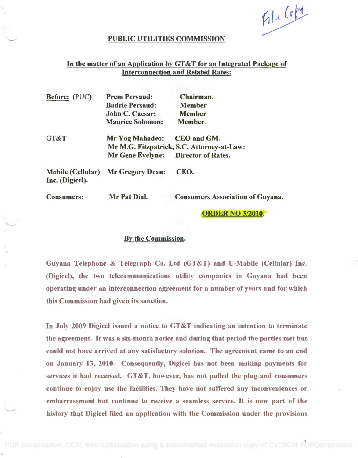FileCopy

### PUBLIC UTILITIES COMMISSION

# In the matter of an Application by GT&T for an Integrated Package of Interconnection and Related Rates: Interconnection and Related Rates:

| <b>Before:</b> (PUC)                        | <b>Prem Persaud:</b><br><b>Badrie Persaud:</b><br><b>John C. Caesar:</b><br><b>Maurice Solomon:</b> | Chairman.<br><b>Member</b><br><b>Member</b><br>Member.    |
|---------------------------------------------|-----------------------------------------------------------------------------------------------------|-----------------------------------------------------------|
| GT&T                                        | <b>Mr Yog Mahadeo:</b><br>Mr Gene Evelyne: Director of Rates.                                       | CEO and GM.<br>Mr M.G. Fitzpatrick, S.C. Attorney-at-Law: |
| <b>Mobile (Cellular)</b><br>Inc. (Digicel). | <b>Mr Gregory Dean:</b>                                                                             | CEO.                                                      |
| <b>Consumers:</b>                           | Mr Pat Dial.                                                                                        | <b>Consumers Association of Guyana.</b>                   |

ORDER NO 3/2010.

### By the Commission.

Guyana Telephone & Telegraph Co. Ltd (GT&T) and U-Mobile (Cellular) Inc. Guyana Telephone & Telegraph Co. Ltd (GT&T) and V-Mobile (Cellular) Inc. (Digicel), the two telecommunications utility companies in Guyana had been (Digicel), the two telecommunications utility companies in Guyana had been operating under an interconnection agreement for a number of years and for which this Commission had given its sanction. this Commission had given its sanction.

In July 2009 Digicel issued a notice to GT&T indicating an intention to terminate In July 2009 Digicel issued a notice to GT&T indicating an intention to terminate the agreement. It was a six-month notice and during that period the parties met but could not have arrived at any satisfactory solution. The agreement came to an end on January 13, 2010. Consequently, Digicel has not been making payments for services it had received. GT&T, however, has not pulled the plug and consumers services it had received. GT&T, however, has not pulled the plug and consumers continue to enjoy use the facilities. They have not suffered any inconveniences or embarrassment but continue to receive a seamless service. It is now part of the embarrassment but continue to receive a seamless service. It is now part of the history that Digicel filed an application with the Commission under the provisions history that Digicel filed an application with the Commission under the provisions

[PDF compression, OCR, web optimization using a watermarked evaluation copy of CVISION PDFCompressor](http://www.cvisiontech.com)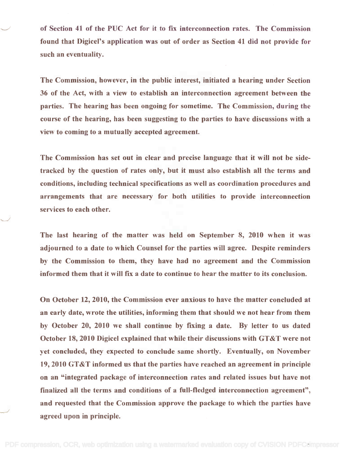of Section 41 of the PUC Act for it to fix interconnection rates. The Commission of Section 41 of the PUC Act for it to fix interconnection rates. The Commission found that Digicel's application was out of order as Section 41 did not provide for found that Digicel's application was out of order as Section 41 did not provide for such an eventuality. such an eventuality.

The Commission, however, in the public interest, initiated a hearing under Section The Commission, however, in the public interest, initiated a hearing under Section 36 of the Act, with a view to establish an interconnection agreement between the 36 of the Act, with a view to establish an interconnection agreement between the parties. The hearing has been ongoing for sometime. The Commission, during the parties. The hearing has been ongoing for sometime. The Commission, during the course of the hearing, has been suggesting to the parties to have discussions with a course of the hearing, has been suggesting to the parties to have discussions with a view to coming to a mutually accepted agreement. view to coming to a mutually accepted agreement.

The Commission has set out in clear and precise language that it will not be side-The Commission has set out in clear and precise language that it will not be sidetracked by the question of rates only, but it must also establish all the terms and tracked by the question of rates only, but it must also establish all the terms and conditions, including technical specifications as well as coordination procedures and conditions, including technical specifications as well as coordination procedures and arrangements that are necessary for both utilities to provide interconnection arrangements that are necessary for both utilities to provide interconnection services to each other. services to each other.

The last hearing of the matter was held on September 8, 2010 when it was The last hearing of the matter was held on September 8, 2010 when it was adjourned to a date to which Counsel for the parties will agree. Despite reminders adjourned to a date to which Counsel for the parties will agree. Despite reminders by the Commission to them, they have had no agreement and the Commission by the Commission to them, they have had no agreement and the Commission informed them that it will fix a date to continue to hear the matter to its conclusion. informed them that it will fix a date to continue to hear the matter to its conclusion.

On October 12, 2010, the Commission ever anxious to have the matter concluded at On October 12, 2010, the Commission ever anxious to have the matter concluded at an early date, wrote the utilities, informing them that should we not hear from them an early date, wrote the utilities, informing them that should we not hear from them by October 20, 2010 we shall continue by fixing a date. By letter to us dated by October 20, 2010 we shall continue by fixing a date. By letter to us dated October 18, 2010 Digicel explained that while their discussions with GT&T were not October 18,2010 Digicel explained that while their discussions with GT&T were not yet concluded, they expected to conclude same shortly. Eventually, on November 19, 2010 GT&T informed us that the parties have reached an agreement in principle 19,2010 GT&T informed us that the parties have reached an agreement in principle on an "integrated package of interconnection rates and related issues but have not finalized all the terms and conditions of a full-fledged interconnection agreement", finalized all the terms and conditions of a full-fledged interconnection agreement", and requested that the Commission approve the package to which the parties have and requested that the Commission approve the package to which the parties have agreed upon in principle. agreed upon in principle.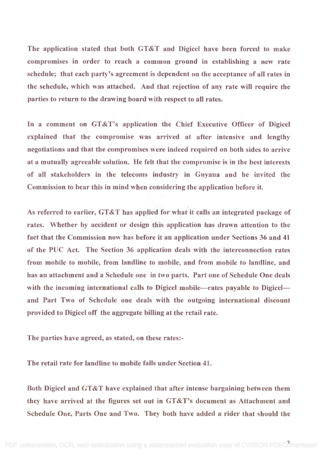The application stated that both GT&T and Digicel have been forced to make The application stated that both GT&T and Digicel have been forced to make compromises in order to reach a common ground in establishing a new rate compromises in order to reach a common ground in establishing a new rate schedule; that each party's agreement is dependent on the acceptance of all rates in schedule; that each party's agreement is dependent on the acceptance of all rates in the schedule, which was attached. And that rejection of any rate will require the the schedule, which was attached. And that rejection of any rate will require the parties to return to the drawing board with respect to all rates. parties to return to the drawing board with respect to all rates.

In a comment on GT&T's application the Chief Executive Officer of Digicel In a comment on GT&T's application the Chief Executive Officer of Digicel explained that the compromise was arrived at after intensive and lengthy explained that the compromise was arrived at after intensive and lengthy negotiations and that the compromises were indeed required on both sides to arrive negotiations and that the compromises were indeed required on both sides to arrive at a mutually agreeable solution. He felt that the compromise is in the best interests at a mutually agreeable solution. He felt that the compromise is in the best interests of all stakeholders in the telecoms industry in Guyana and he invited the of all stakeholders in the telecoms industry in Guyana and he invited the Commission to bear this in mind when considering the application before it. Commission to bear this in mind when considering the application before it.

As referred to earlier, GT&T has applied for what it calls an integrated package of As referred to earlier, GT&T has applied for what it calls an integrated package of rates. Whether by accident or design this application has drawn attention to the fact that the Commission now has before it an application under Sections 36 and 41 fact that the Commission now has before it an application under Sections 36 and 41 of the PUC Act. The Section 36 application deals with the interconnection rates of the PUC Act. The Section 36 application deals with the interconnection rates from mobile to mobile, from landline to mobile, and from mobile to landline, and has an attachment and a Schedule one in two parts. Part one of Schedule One deals has an attachment and a Schedule one in two parts. Part one of Schedule One deals with the incoming international calls to Digicel mobile-rates payable to Digiceland Part Two of Schedule one deals with the outgoing international discount and Part Two of Schedule one deals with the outgoing international discount provided to Digicel off the aggregate billing at the retail rate. provided to Digicel off the aggregate billing at the retail rate.

The parties have agreed, as stated, on these rates:-

The retail rate for landline to mobile falls under Section 41.

Both Digicel and GT&T have explained that after intense bargaining between them Both Digicel and GT&T have explained that after intense bargaining between them they have arrived at the figures set out in GT&T's document as Attachment and Schedule One, Parts One and Two. They both have added a rider that should the Schedule One, Parts One and Two. They both have added a rider that should the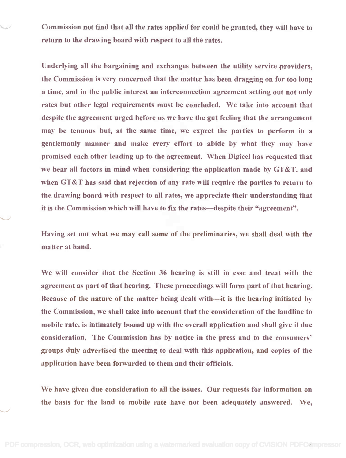Commission not find that all the rates applied for could be granted, they will have to Commission not find that all the rates applied for could be granted, they will have to return to the drawing board with respect to all the rates.

Underlying all the bargaining and exchanges between the utility service providers, the Commission is very concerned that the matter has been dragging on for too long the Commission is very concerned that the matter has been dragging on for too long a time, and in the public interest an interconnection agreement setting out not only a time, and in the public interest an interconnection agreement setting out not only rates but other legal requirements must be concluded. We take into account that despite the agreement urged before us we have the gut feeling that the arrangement despite the agreement urged before us we have the gut feeling that the arrangement may be tenuous but, at the same time, we expect the parties to perform in a may be tenuous but, at the same time, we expect the parties to perform in a gentlemanly manner and make every effort to abide by what they may have gentlemanly manner and make every effort to abide by what they may have promised each other leading up to the agreement. When Digicel has requested that promised each other leading up to the agreement. When Digicel has requested that we bear all factors in mind when considering the application made by GT&T, and we bear all factors in mind when considering the application made by GT&T, and when GT&T has said that rejection of any rate will require the parties to return to the drawing board with respect to all rates, we appreciate their understanding that the drawing board with respect to all rates, we appreciate their understanding that it is the Commission which will have to fix the rates—despite their "agreement".

Having set out what we may call some of the preliminaries, we shall deal with the Having set out what we may call some of the preliminaries, we shall deal with the matter at hand. matter at hand.

We will consider that the Section 36 hearing is still in esse and treat with the We will consider that the Section 36 hearing is still in esse and treat with the agreement as part of that hearing. These proceedings will form part of that hearing. agreement as part of that hearing. These proceedings will form part of that hearing. Because of the nature of the matter being dealt with—it is the hearing initiated by the Commission, we shall take into account that the consideration of the landline to the Commission, we shall take into account that the consideration of the landline to mobile rate, is intimately bound up with the overall application and shall give it due mobile rate, is intimately bound up with the overall application and shall give it due consideration. The Commission has by notice in the press and to the consumers' consideration. The Commission has by notice in the press and to the consumers' groups duly advertised the meeting to deal with this application, and copies of the groups duly advertised the meeting to deal with this application, and copies of the application have been forwarded to them and their officials. application have been forwarded to them and their officials.

We have given due consideration to all the issues. Our requests for information on We have given due consideration to all the issues. Our requests for information on the basis for the land to mobile rate have not been adequately answered. We, the basis for the land to mobile rate have not been adequately answered. We,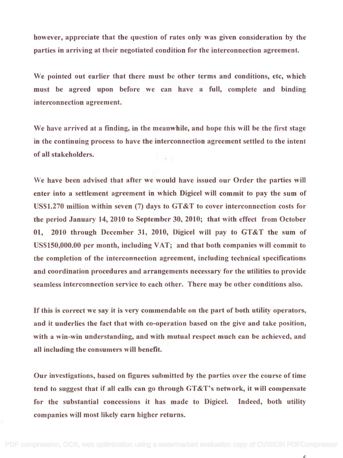however, appreciate that the question of rates only was given consideration by the however, appreciate that the question of rates only was given consideration by the parties in arriving at their negotiated condition for the interconnection agreement. parties in arriving at their negotiated condition for the interconnection agreement.

We pointed out earlier that there must be other terms and conditions, etc, which We pointed out earlier that there must be other terms and conditions, etc, which must be agreed upon before we can have a full, complete and binding must be agreed upon before we can have a full, complete and binding interconnection agreement. interconnection agreement.

We have arrived at a finding, in the meanwhile, and hope this will be the first stage We have arrived at a finding, in the meanwhile, and hope this will be the first stage in the continuing process to have the interconnection agreement settled to the intent of all stakeholders. of all stakeholders.

We have been advised that after we would have issued our Order the parties will We have been advised that after we would have issued our Order the parties will enter into a settlement agreement in which Digicel will commit to pay the sum of US\$1.270 million within seven (7) days to GT&T to cover interconnection costs for US\$1.270 million within seven (7) days to GT &T to cover interconnection costs for the period January 14, 2010 to September 30, 2010; that with effect from October the period January 14,2010 to September 30,2010; that with effect from October 01, 2010 through December 31, 2010, Digicel will pay to GT&T the sum of 01, 2010 through December 31, 2010, Digicel will pay to GT&T the sum of US\$150,000.00 per month, including VAT; and that both companies will commit to US\$lS0,000.00 per month, including VAT; and that both companies will commit to the completion of the interconnection agreement, including technical specifications the completion of the interconnection agreement, including technical specifications and coordination procedures and arrangements necessary for the utilities to provide and coordination procedures and arrangements necessary for the utilities to provide seamless interconnection service to each other. There may be other conditions also. seamless interconnection service to each other. There may be other conditions also.

If this is correct we say it is very commendable on the part of both utility operators, If this is correct we say it is very commendable on the part of both utility operators, and it underlies the fact that with co-operation based on the give and take position, and it underlies the fact that with co-operation based on the give and take position, with a win-win understanding, and with mutual respect much can be achieved, and with a win-win understanding, and with mutual respect much can be achieved, and all including the consumers will benefit. all including the consumers will benefit.

Our investigations, based on figures submitted by the parties over the course of time Our investigations, based on figures submitted by the parties over the course of time tend to suggest that if all calls can go through GT&T's network, it will compensate tend to suggest that if all calls can go through GT&T's network, it will compensate for the substantial concessions it has made to Digicel. Indeed, both utility for the substantial concessions it has made to Digicel. Indeed, both utility companies will most likely earn higher returns. companies will most likely earn higher returns.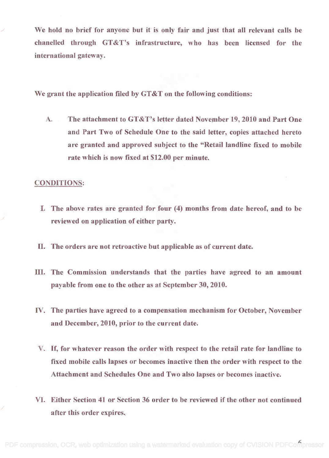We hold no brief for anyone but it is only fair and just that all relevant calls be We hold no brief for anyone but it is only fair and just that all relevant calls be chanelled through GT&T's infrastructure, who has been licensed for the chanelled through GT&T's infrastructure, who has been licensed for the international gateway. international gateway.

We grant the application filed by GT&T on the following conditions:

A. The attachment to GT&T's letter dated November 19, 2010 and Part One A. The attachment to GT&T's letter dated November 19, 2010 and Part One and Part Two of Schedule One to the said letter, copies attached hereto and Part Two of Schedule One to the said letter, copies attached hereto are granted and approved subject to the "Retail landline fixed to mobile are granted and approved subject to the "Retail landline fixed to mobile rate which is now fixed at \$12.00 per minute. rate which is now fixed at \$12.00 per minute.

## CONDITIONS:

- I. The above rates are granted for four (4) months from date hereof, and to be I. The above rates are granted for four (4) months from date hereof, and to be reviewed on application of either party. reviewed on application of either party.
- II. The orders are not retroactive but applicable as of current date.
- III. The Commission understands that the parties have agreed to an amount III. The Commission understands that the parties have agreed to an amount payable from one to the other as at September 30, 2010. payable from one to the other as at September 30,2010.
- IV. The parties have agreed to a compensation mechanism for October, November IV. The parties have agreed to a compensation mechanism for October, November and December, 2010, prior to the current date. and December, 2010, prior to the current date.
- V. If, for whatever reason the order with respect to the retail rate for landline to V. If, for whatever reason the order with respect to the retail rate for landline to fixed mobile calls lapses or becomes inactive then the order with respect to the fixed mobile calls lapses or becomes inactive then the order with respect to the Attachment and Schedules One and Two also lapses or becomes inactive. Attachment and Schedules One and Two also lapses or becomes inactive.
- VI. Either Section 41 or Section 36 order to be reviewed if the other not continued VI. Either Section 41 or Section 36 order to be reviewed if the other not continued after this order expires. after this order expires.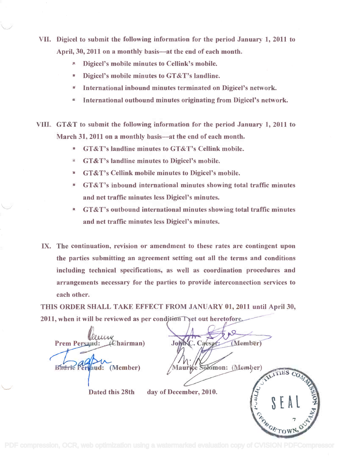- VII. Digicel to submit the following information for the period January 1, 2011 to VII. Digicel to submit the following information for the period January 1, 2011 to April, 30, 2011 on a monthly basis—at the end of each month.
	- Digicel's mobile minutes to Cellink's mobile. Digicel's mobile minutes to Cellink's mobile.
	- Digicel's mobile minutes to GT&T's landline. Digicel's mobile minutes to GT&T's landline.
	- International inbound minutes terminated on Digicel's network. International inbound minutes terminated on Digicel's network.
	- International outbound minutes originating from Digicel's network. International outbound minutes originating from Digicel's network.
- VIII.. GT&T to submit the following information for the period January 1, 2011 to VIII. GT&T to submit the following information for the period January 1, 2011 to March 31, 2011 on a monthly basis—at the end of each month.
	- GT&T's landline minutes to GT&T's Cellink mobile. GT&T's landline minutes to GT&T's Cellink mobile.
	- GT&T's landline minutes to Digicel's mobile. GT&T's landline minutes to Digicel's mobile.
	- GT&T's Cellink mobile minutes to Digicel's mobile. GT&T's Cellink mobile minutes to Digicel's mobile.
	- GT&T's inbound international minutes showing total traffic minutes GT&T's inbound international minutes showing total traffic minutes and net traffic minutes less Digicel's minutes. and net traffic minutes less Digicel's minutes.
	- GT&T's outbound international minutes showing total traffic minutes GT&T's outbound international minutes showing total traffic minutes and net traffic minutes less Digicel's minutes. and net traffic minutes less Digicel's minutes.
	- IX. The continuation, revision or amendment to these rates are contingent upon IX. The continuation, revision or amendment to these rates are contingent upon the parties submitting an agreement setting out all the terms and conditions the parties submitting an agreement setting out all the terms and conditions including technical specifications, as well as coordination procedures and including technical specifications, as well as coordination procedures and arrangements necessary for the parties to provide interconnection services to arrangements necessary for the parties to provide interconnection services to each other. each other.

THIS ORDER SHALL TAKE EFFECT FROM JANUARY 01, 2011 until April 30,<br>2011, when it will be reviewed as per condition Tyet out heretofore on Tyet out heretofore /  $2011$ , when it will be reviewed as per condition

Prem Persaud: Chairman) John C. Caesar: Badric Perkaud: (Member) Prem Persa

 $\sqrt{1}$ John C. Caesar: (Member)

GETOV

Maurice Solomon: (Member)

Dated this 28th day of December, 2010. Dated this 28th day of December, 2010.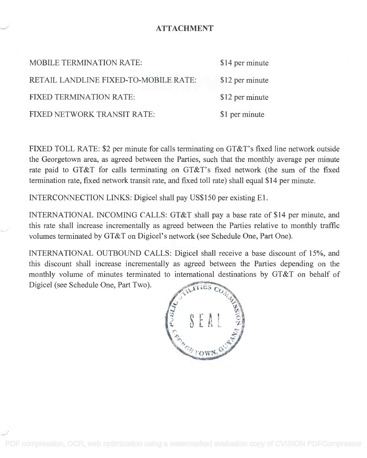## ATTACHMENT

| <b>MOBILE TERMINATION RATE:</b>       | \$14 per minute |
|---------------------------------------|-----------------|
| RETAIL LANDLINE FIXED-TO-MOBILE RATE: | \$12 per minute |
| <b>FIXED TERMINATION RATE:</b>        | \$12 per minute |
| FIXED NETWORK TRANSIT RATE:           | \$1 per minute  |

FIXED TOLL RATE: \$2 per minute for calls terminating on GT&T's fixed line network outside FIXED TOLL RATE: \$2 per minute for calls terminating on GT&T's fixed line network outside the Georgetown area, as agreed between the Parties, such that the monthly average per minute rate paid to GT&T for calls terminating on GT&T's fixed network (the sum of the fixed termination rate, fixed network transit rate, and fixed toll rate) shall equal \$14 per minute. termination rate, fixed network transit rate, and fixed toll rate) shall equal \$14 per minute.

INTERCONNECTION LINKS: Digicel shall pay US\$150 per existing El. INTERCONNECTION LINKS: Digicel shall pay US\$150 per existing El.

INTERNATIONAL INCOMING CALLS: GT&T shall pay a base rate of \$14 per minute, and INTERNATIONAL INCOMING CALLS: GT&T shall pay a base rate of \$14 per minute, and this rate shall increase incrementally as agreed between the Parties relative to monthly traffic this rate shall increase incrementally as agreed between the Parties relative to monthly traffic volumes terminated by GT&T on Digicel's network (see Schedule One, Part One). volumes terminated by GT&T on Digicel's network (see Schedule One, Part One).

INTERNATIONAL OUTBOUND CALLS: Digicel shall receive a base discount of 15%, and this discount shall increase incrementally as agreed between the Parties depending on the this discount shall increase incrementally as agreed between the Parties depending on the monthly volume of minutes terminated to international destinations by GT&T on behalf of monthly volume of minutes terminated to international destinations by GT&T on behalf of Digicel (see Schedule One, Part Two). Digicel (see Schedule One, Part Two).